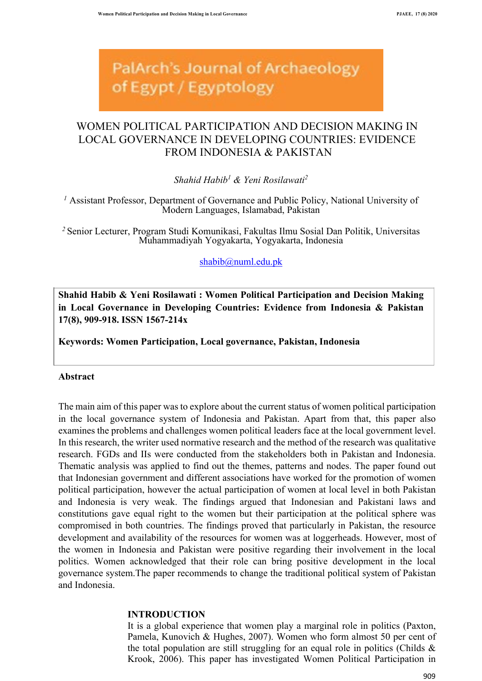**PalArch's Journal of Archaeology** of Egypt / Egyptology

# WOMEN POLITICAL PARTICIPATION AND DECISION MAKING IN LOCAL GOVERNANCE IN DEVELOPING COUNTRIES: EVIDENCE FROM INDONESIA & PAKISTAN

*Shahid Habib1 & Yeni Rosilawati2*

*<sup>1</sup>* Assistant Professor, Department of Governance and Public Policy, National University of Modern Languages, Islamabad, Pakistan

*<sup>2</sup>* Senior Lecturer, Program Studi Komunikasi, Fakultas Ilmu Sosial Dan Politik, Universitas Muhammadiyah Yogyakarta, Yogyakarta, Indonesia

shabib@numl.edu.pk

**Shahid Habib & Yeni Rosilawati : Women Political Participation and Decision Making in Local Governance in Developing Countries: Evidence from Indonesia & Pakistan 17(8), 909-918. ISSN 1567-214x**

**Keywords: Women Participation, Local governance, Pakistan, Indonesia**

### **Abstract**

The main aim of this paper was to explore about the current status of women political participation in the local governance system of Indonesia and Pakistan. Apart from that, this paper also examines the problems and challenges women political leaders face at the local government level. In this research, the writer used normative research and the method of the research was qualitative research. FGDs and IIs were conducted from the stakeholders both in Pakistan and Indonesia. Thematic analysis was applied to find out the themes, patterns and nodes. The paper found out that Indonesian government and different associations have worked for the promotion of women political participation, however the actual participation of women at local level in both Pakistan and Indonesia is very weak. The findings argued that Indonesian and Pakistani laws and constitutions gave equal right to the women but their participation at the political sphere was compromised in both countries. The findings proved that particularly in Pakistan, the resource development and availability of the resources for women was at loggerheads. However, most of the women in Indonesia and Pakistan were positive regarding their involvement in the local politics. Women acknowledged that their role can bring positive development in the local governance system.The paper recommends to change the traditional political system of Pakistan and Indonesia.

#### **INTRODUCTION**

It is a global experience that women play a marginal role in politics (Paxton, Pamela, Kunovich & Hughes, 2007). Women who form almost 50 per cent of the total population are still struggling for an equal role in politics (Childs  $\&$ Krook, 2006). This paper has investigated Women Political Participation in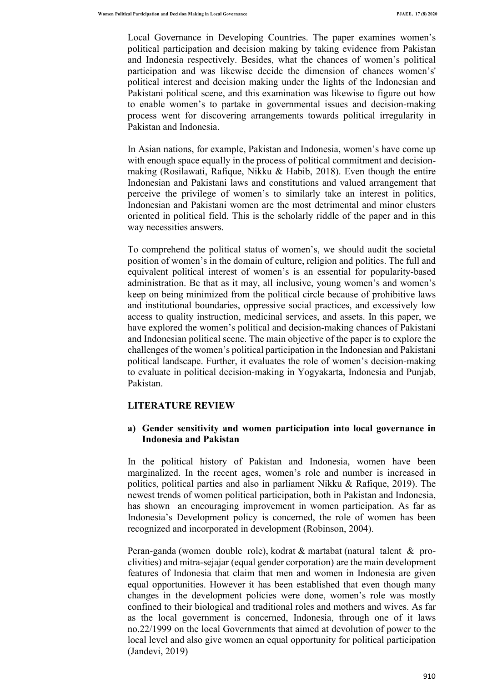Local Governance in Developing Countries. The paper examines women's political participation and decision making by taking evidence from Pakistan and Indonesia respectively. Besides, what the chances of women's political participation and was likewise decide the dimension of chances women's' political interest and decision making under the lights of the Indonesian and Pakistani political scene, and this examination was likewise to figure out how to enable women's to partake in governmental issues and decision-making process went for discovering arrangements towards political irregularity in Pakistan and Indonesia.

In Asian nations, for example, Pakistan and Indonesia, women's have come up with enough space equally in the process of political commitment and decisionmaking (Rosilawati, Rafique, Nikku & Habib, 2018). Even though the entire Indonesian and Pakistani laws and constitutions and valued arrangement that perceive the privilege of women's to similarly take an interest in politics, Indonesian and Pakistani women are the most detrimental and minor clusters oriented in political field. This is the scholarly riddle of the paper and in this way necessities answers.

To comprehend the political status of women's, we should audit the societal position of women's in the domain of culture, religion and politics. The full and equivalent political interest of women's is an essential for popularity-based administration. Be that as it may, all inclusive, young women's and women's keep on being minimized from the political circle because of prohibitive laws and institutional boundaries, oppressive social practices, and excessively low access to quality instruction, medicinal services, and assets. In this paper, we have explored the women's political and decision-making chances of Pakistani and Indonesian political scene. The main objective of the paper is to explore the challenges of the women's political participation in the Indonesian and Pakistani political landscape. Further, it evaluates the role of women's decision-making to evaluate in political decision-making in Yogyakarta, Indonesia and Punjab, Pakistan.

#### **LITERATURE REVIEW**

### **a) Gender sensitivity and women participation into local governance in Indonesia and Pakistan**

In the political history of Pakistan and Indonesia, women have been marginalized. In the recent ages, women's role and number is increased in politics, political parties and also in parliament Nikku & Rafique, 2019). The newest trends of women political participation, both in Pakistan and Indonesia, has shown an encouraging improvement in women participation. As far as Indonesia's Development policy is concerned, the role of women has been recognized and incorporated in development (Robinson, 2004).

Peran-ganda (women double role), kodrat & martabat (natural talent & proclivities) and mitra-sejajar (equal gender corporation) are the main development features of Indonesia that claim that men and women in Indonesia are given equal opportunities. However it has been established that even though many changes in the development policies were done, women's role was mostly confined to their biological and traditional roles and mothers and wives. As far as the local government is concerned, Indonesia, through one of it laws no.22/1999 on the local Governments that aimed at devolution of power to the local level and also give women an equal opportunity for political participation (Jandevi, 2019)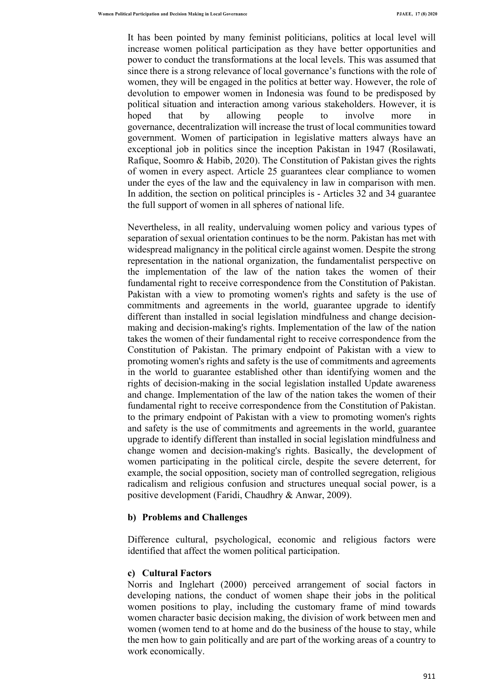It has been pointed by many feminist politicians, politics at local level will increase women political participation as they have better opportunities and power to conduct the transformations at the local levels. This was assumed that since there is a strong relevance of local governance's functions with the role of women, they will be engaged in the politics at better way. However, the role of devolution to empower women in Indonesia was found to be predisposed by political situation and interaction among various stakeholders. However, it is hoped that by allowing people to involve more in governance, decentralization will increase the trust of local communities toward government. Women of participation in legislative matters always have an exceptional job in politics since the inception Pakistan in 1947 (Rosilawati, Rafique, Soomro & Habib, 2020). The Constitution of Pakistan gives the rights of women in every aspect. Article 25 guarantees clear compliance to women under the eyes of the law and the equivalency in law in comparison with men. In addition, the section on political principles is - Articles 32 and 34 guarantee the full support of women in all spheres of national life.

Nevertheless, in all reality, undervaluing women policy and various types of separation of sexual orientation continues to be the norm. Pakistan has met with widespread malignancy in the political circle against women. Despite the strong representation in the national organization, the fundamentalist perspective on the implementation of the law of the nation takes the women of their fundamental right to receive correspondence from the Constitution of Pakistan. Pakistan with a view to promoting women's rights and safety is the use of commitments and agreements in the world, guarantee upgrade to identify different than installed in social legislation mindfulness and change decisionmaking and decision-making's rights. Implementation of the law of the nation takes the women of their fundamental right to receive correspondence from the Constitution of Pakistan. The primary endpoint of Pakistan with a view to promoting women's rights and safety is the use of commitments and agreements in the world to guarantee established other than identifying women and the rights of decision-making in the social legislation installed Update awareness and change. Implementation of the law of the nation takes the women of their fundamental right to receive correspondence from the Constitution of Pakistan. to the primary endpoint of Pakistan with a view to promoting women's rights and safety is the use of commitments and agreements in the world, guarantee upgrade to identify different than installed in social legislation mindfulness and change women and decision-making's rights. Basically, the development of women participating in the political circle, despite the severe deterrent, for example, the social opposition, society man of controlled segregation, religious radicalism and religious confusion and structures unequal social power, is a positive development (Faridi, Chaudhry & Anwar, 2009).

#### **b) Problems and Challenges**

Difference cultural, psychological, economic and religious factors were identified that affect the women political participation.

#### **c) Cultural Factors**

Norris and Inglehart (2000) perceived arrangement of social factors in developing nations, the conduct of women shape their jobs in the political women positions to play, including the customary frame of mind towards women character basic decision making, the division of work between men and women (women tend to at home and do the business of the house to stay, while the men how to gain politically and are part of the working areas of a country to work economically.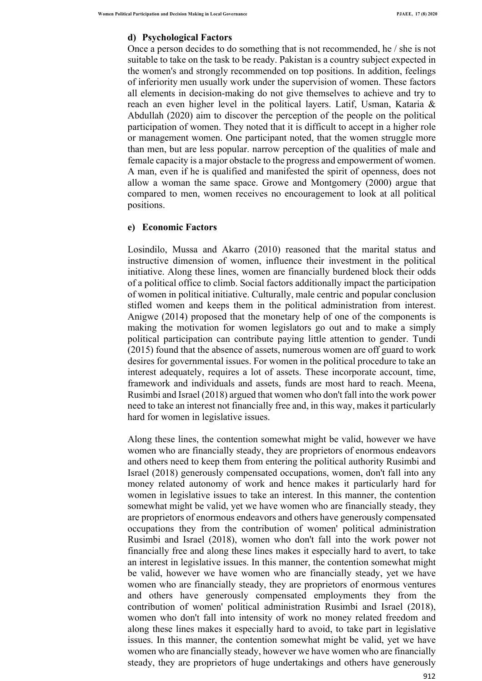# **d) Psychological Factors**

Once a person decides to do something that is not recommended, he / she is not suitable to take on the task to be ready. Pakistan is a country subject expected in the women's and strongly recommended on top positions. In addition, feelings of inferiority men usually work under the supervision of women. These factors all elements in decision-making do not give themselves to achieve and try to reach an even higher level in the political layers. Latif, Usman, Kataria & Abdullah (2020) aim to discover the perception of the people on the political participation of women. They noted that it is difficult to accept in a higher role or management women. One participant noted, that the women struggle more than men, but are less popular. narrow perception of the qualities of male and female capacity is a major obstacle to the progress and empowerment of women. A man, even if he is qualified and manifested the spirit of openness, does not allow a woman the same space. Growe and Montgomery (2000) argue that compared to men, women receives no encouragement to look at all political positions.

### **e) Economic Factors**

Losindilo, Mussa and Akarro (2010) reasoned that the marital status and instructive dimension of women, influence their investment in the political initiative. Along these lines, women are financially burdened block their odds of a political office to climb. Social factors additionally impact the participation of women in political initiative. Culturally, male centric and popular conclusion stifled women and keeps them in the political administration from interest. Anigwe (2014) proposed that the monetary help of one of the components is making the motivation for women legislators go out and to make a simply political participation can contribute paying little attention to gender. Tundi (2015) found that the absence of assets, numerous women are off guard to work desires for governmental issues. For women in the political procedure to take an interest adequately, requires a lot of assets. These incorporate account, time, framework and individuals and assets, funds are most hard to reach. Meena, Rusimbi and Israel (2018) argued that women who don't fall into the work power need to take an interest not financially free and, in this way, makes it particularly hard for women in legislative issues.

Along these lines, the contention somewhat might be valid, however we have women who are financially steady, they are proprietors of enormous endeavors and others need to keep them from entering the political authority Rusimbi and Israel (2018) generously compensated occupations, women, don't fall into any money related autonomy of work and hence makes it particularly hard for women in legislative issues to take an interest. In this manner, the contention somewhat might be valid, yet we have women who are financially steady, they are proprietors of enormous endeavors and others have generously compensated occupations they from the contribution of women' political administration Rusimbi and Israel (2018), women who don't fall into the work power not financially free and along these lines makes it especially hard to avert, to take an interest in legislative issues. In this manner, the contention somewhat might be valid, however we have women who are financially steady, yet we have women who are financially steady, they are proprietors of enormous ventures and others have generously compensated employments they from the contribution of women' political administration Rusimbi and Israel (2018), women who don't fall into intensity of work no money related freedom and along these lines makes it especially hard to avoid, to take part in legislative issues. In this manner, the contention somewhat might be valid, yet we have women who are financially steady, however we have women who are financially steady, they are proprietors of huge undertakings and others have generously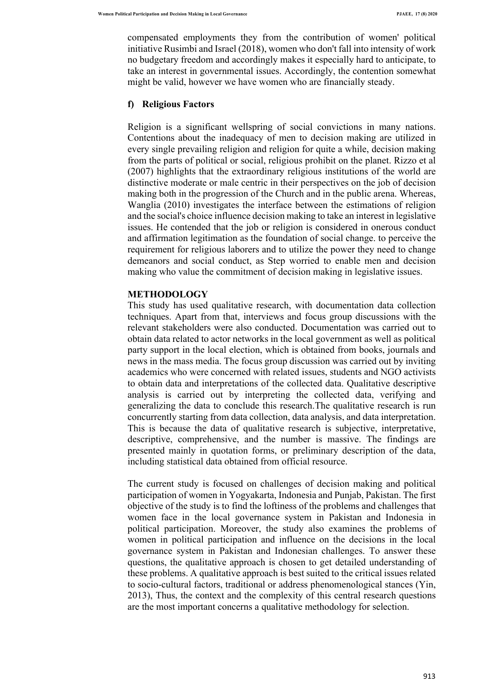compensated employments they from the contribution of women' political initiative Rusimbi and Israel (2018), women who don't fall into intensity of work no budgetary freedom and accordingly makes it especially hard to anticipate, to take an interest in governmental issues. Accordingly, the contention somewhat might be valid, however we have women who are financially steady.

### **f) Religious Factors**

Religion is a significant wellspring of social convictions in many nations. Contentions about the inadequacy of men to decision making are utilized in every single prevailing religion and religion for quite a while, decision making from the parts of political or social, religious prohibit on the planet. Rizzo et al (2007) highlights that the extraordinary religious institutions of the world are distinctive moderate or male centric in their perspectives on the job of decision making both in the progression of the Church and in the public arena. Whereas, Wanglia (2010) investigates the interface between the estimations of religion and the social's choice influence decision making to take an interest in legislative issues. He contended that the job or religion is considered in onerous conduct and affirmation legitimation as the foundation of social change. to perceive the requirement for religious laborers and to utilize the power they need to change demeanors and social conduct, as Step worried to enable men and decision making who value the commitment of decision making in legislative issues.

#### **METHODOLOGY**

This study has used qualitative research, with documentation data collection techniques. Apart from that, interviews and focus group discussions with the relevant stakeholders were also conducted. Documentation was carried out to obtain data related to actor networks in the local government as well as political party support in the local election, which is obtained from books, journals and news in the mass media. The focus group discussion was carried out by inviting academics who were concerned with related issues, students and NGO activists to obtain data and interpretations of the collected data. Qualitative descriptive analysis is carried out by interpreting the collected data, verifying and generalizing the data to conclude this research.The qualitative research is run concurrently starting from data collection, data analysis, and data interpretation. This is because the data of qualitative research is subjective, interpretative, descriptive, comprehensive, and the number is massive. The findings are presented mainly in quotation forms, or preliminary description of the data, including statistical data obtained from official resource.

The current study is focused on challenges of decision making and political participation of women in Yogyakarta, Indonesia and Punjab, Pakistan. The first objective of the study is to find the loftiness of the problems and challenges that women face in the local governance system in Pakistan and Indonesia in political participation. Moreover, the study also examines the problems of women in political participation and influence on the decisions in the local governance system in Pakistan and Indonesian challenges. To answer these questions, the qualitative approach is chosen to get detailed understanding of these problems. A qualitative approach is best suited to the critical issues related to socio-cultural factors, traditional or address phenomenological stances (Yin, 2013), Thus, the context and the complexity of this central research questions are the most important concerns a qualitative methodology for selection.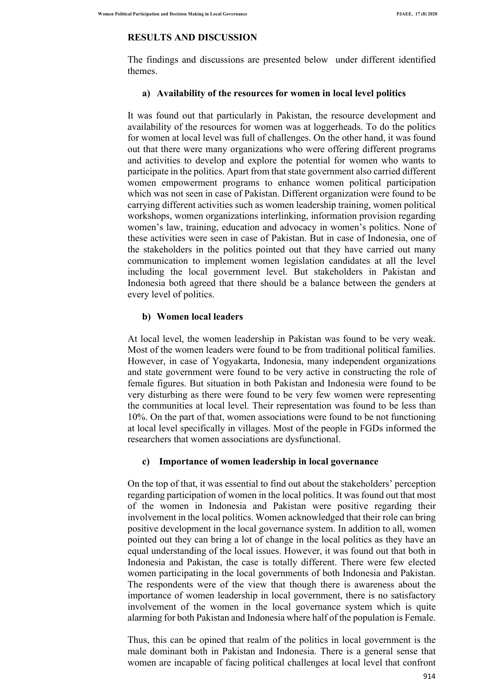# **RESULTS AND DISCUSSION**

The findings and discussions are presented below under different identified themes.

# **a) Availability of the resources for women in local level politics**

It was found out that particularly in Pakistan, the resource development and availability of the resources for women was at loggerheads. To do the politics for women at local level was full of challenges. On the other hand, it was found out that there were many organizations who were offering different programs and activities to develop and explore the potential for women who wants to participate in the politics. Apart from that state government also carried different women empowerment programs to enhance women political participation which was not seen in case of Pakistan. Different organization were found to be carrying different activities such as women leadership training, women political workshops, women organizations interlinking, information provision regarding women's law, training, education and advocacy in women's politics. None of these activities were seen in case of Pakistan. But in case of Indonesia, one of the stakeholders in the politics pointed out that they have carried out many communication to implement women legislation candidates at all the level including the local government level. But stakeholders in Pakistan and Indonesia both agreed that there should be a balance between the genders at every level of politics.

# **b) Women local leaders**

At local level, the women leadership in Pakistan was found to be very weak. Most of the women leaders were found to be from traditional political families. However, in case of Yogyakarta, Indonesia, many independent organizations and state government were found to be very active in constructing the role of female figures. But situation in both Pakistan and Indonesia were found to be very disturbing as there were found to be very few women were representing the communities at local level. Their representation was found to be less than 10%. On the part of that, women associations were found to be not functioning at local level specifically in villages. Most of the people in FGDs informed the researchers that women associations are dysfunctional.

# **c) Importance of women leadership in local governance**

On the top of that, it was essential to find out about the stakeholders' perception regarding participation of women in the local politics. It was found out that most of the women in Indonesia and Pakistan were positive regarding their involvement in the local politics. Women acknowledged that their role can bring positive development in the local governance system. In addition to all, women pointed out they can bring a lot of change in the local politics as they have an equal understanding of the local issues. However, it was found out that both in Indonesia and Pakistan, the case is totally different. There were few elected women participating in the local governments of both Indonesia and Pakistan. The respondents were of the view that though there is awareness about the importance of women leadership in local government, there is no satisfactory involvement of the women in the local governance system which is quite alarming for both Pakistan and Indonesia where half of the population is Female.

Thus, this can be opined that realm of the politics in local government is the male dominant both in Pakistan and Indonesia. There is a general sense that women are incapable of facing political challenges at local level that confront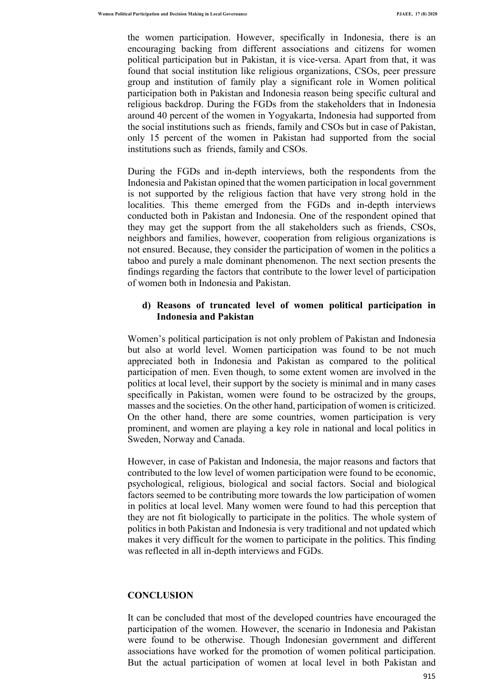the women participation. However, specifically in Indonesia, there is an encouraging backing from different associations and citizens for women political participation but in Pakistan, it is vice-versa. Apart from that, it was found that social institution like religious organizations, CSOs, peer pressure group and institution of family play a significant role in Women political participation both in Pakistan and Indonesia reason being specific cultural and religious backdrop. During the FGDs from the stakeholders that in Indonesia around 40 percent of the women in Yogyakarta, Indonesia had supported from the social institutions such as friends, family and CSOs but in case of Pakistan, only 15 percent of the women in Pakistan had supported from the social institutions such as friends, family and CSOs.

During the FGDs and in-depth interviews, both the respondents from the Indonesia and Pakistan opined that the women participation in local government is not supported by the religious faction that have very strong hold in the localities. This theme emerged from the FGDs and in-depth interviews conducted both in Pakistan and Indonesia. One of the respondent opined that they may get the support from the all stakeholders such as friends, CSOs, neighbors and families, however, cooperation from religious organizations is not ensured. Because, they consider the participation of women in the politics a taboo and purely a male dominant phenomenon. The next section presents the findings regarding the factors that contribute to the lower level of participation of women both in Indonesia and Pakistan.

# **d) Reasons of truncated level of women political participation in Indonesia and Pakistan**

Women's political participation is not only problem of Pakistan and Indonesia but also at world level. Women participation was found to be not much appreciated both in Indonesia and Pakistan as compared to the political participation of men. Even though, to some extent women are involved in the politics at local level, their support by the society is minimal and in many cases specifically in Pakistan, women were found to be ostracized by the groups, masses and the societies. On the other hand, participation of women is criticized. On the other hand, there are some countries, women participation is very prominent, and women are playing a key role in national and local politics in Sweden, Norway and Canada.

However, in case of Pakistan and Indonesia, the major reasons and factors that contributed to the low level of women participation were found to be economic, psychological, religious, biological and social factors. Social and biological factors seemed to be contributing more towards the low participation of women in politics at local level. Many women were found to had this perception that they are not fit biologically to participate in the politics. The whole system of politics in both Pakistan and Indonesia is very traditional and not updated which makes it very difficult for the women to participate in the politics. This finding was reflected in all in-depth interviews and FGDs.

#### **CONCLUSION**

It can be concluded that most of the developed countries have encouraged the participation of the women. However, the scenario in Indonesia and Pakistan were found to be otherwise. Though Indonesian government and different associations have worked for the promotion of women political participation. But the actual participation of women at local level in both Pakistan and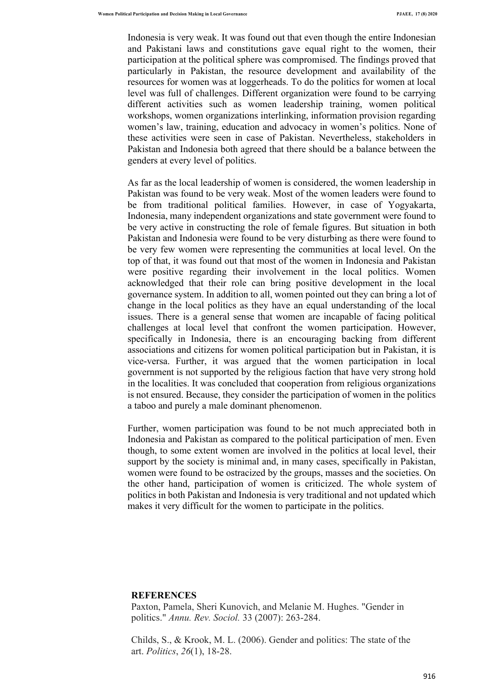Indonesia is very weak. It was found out that even though the entire Indonesian and Pakistani laws and constitutions gave equal right to the women, their participation at the political sphere was compromised. The findings proved that particularly in Pakistan, the resource development and availability of the resources for women was at loggerheads. To do the politics for women at local level was full of challenges. Different organization were found to be carrying different activities such as women leadership training, women political workshops, women organizations interlinking, information provision regarding women's law, training, education and advocacy in women's politics. None of these activities were seen in case of Pakistan. Nevertheless, stakeholders in Pakistan and Indonesia both agreed that there should be a balance between the genders at every level of politics.

As far as the local leadership of women is considered, the women leadership in Pakistan was found to be very weak. Most of the women leaders were found to be from traditional political families. However, in case of Yogyakarta, Indonesia, many independent organizations and state government were found to be very active in constructing the role of female figures. But situation in both Pakistan and Indonesia were found to be very disturbing as there were found to be very few women were representing the communities at local level. On the top of that, it was found out that most of the women in Indonesia and Pakistan were positive regarding their involvement in the local politics. Women acknowledged that their role can bring positive development in the local governance system. In addition to all, women pointed out they can bring a lot of change in the local politics as they have an equal understanding of the local issues. There is a general sense that women are incapable of facing political challenges at local level that confront the women participation. However, specifically in Indonesia, there is an encouraging backing from different associations and citizens for women political participation but in Pakistan, it is vice-versa. Further, it was argued that the women participation in local government is not supported by the religious faction that have very strong hold in the localities. It was concluded that cooperation from religious organizations is not ensured. Because, they consider the participation of women in the politics a taboo and purely a male dominant phenomenon.

Further, women participation was found to be not much appreciated both in Indonesia and Pakistan as compared to the political participation of men. Even though, to some extent women are involved in the politics at local level, their support by the society is minimal and, in many cases, specifically in Pakistan, women were found to be ostracized by the groups, masses and the societies. On the other hand, participation of women is criticized. The whole system of politics in both Pakistan and Indonesia is very traditional and not updated which makes it very difficult for the women to participate in the politics.

#### **REFERENCES**

Paxton, Pamela, Sheri Kunovich, and Melanie M. Hughes. "Gender in politics." *Annu. Rev. Sociol.* 33 (2007): 263-284.

Childs, S., & Krook, M. L. (2006). Gender and politics: The state of the art. *Politics*, *26*(1), 18-28.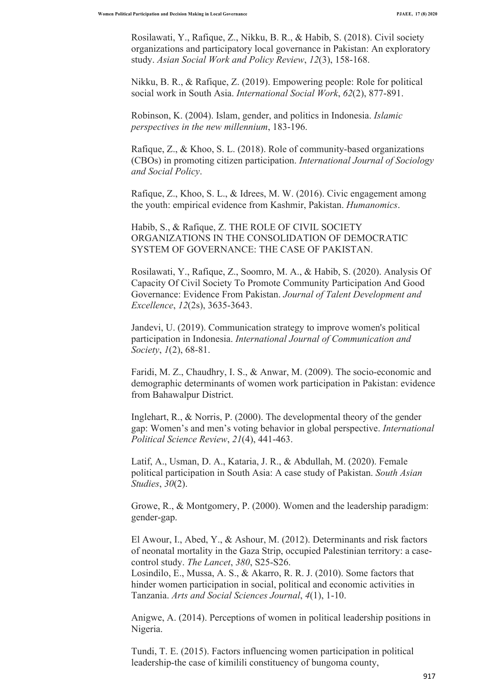Rosilawati, Y., Rafique, Z., Nikku, B. R., & Habib, S. (2018). Civil society organizations and participatory local governance in Pakistan: An exploratory study. *Asian Social Work and Policy Review*, *12*(3), 158-168.

Nikku, B. R., & Rafique, Z. (2019). Empowering people: Role for political social work in South Asia. *International Social Work*, *62*(2), 877-891.

Robinson, K. (2004). Islam, gender, and politics in Indonesia. *Islamic perspectives in the new millennium*, 183-196.

Rafique, Z., & Khoo, S. L. (2018). Role of community-based organizations (CBOs) in promoting citizen participation. *International Journal of Sociology and Social Policy*.

Rafique, Z., Khoo, S. L., & Idrees, M. W. (2016). Civic engagement among the youth: empirical evidence from Kashmir, Pakistan. *Humanomics*.

Habib, S., & Rafique, Z. THE ROLE OF CIVIL SOCIETY ORGANIZATIONS IN THE CONSOLIDATION OF DEMOCRATIC SYSTEM OF GOVERNANCE: THE CASE OF PAKISTAN.

Rosilawati, Y., Rafique, Z., Soomro, M. A., & Habib, S. (2020). Analysis Of Capacity Of Civil Society To Promote Community Participation And Good Governance: Evidence From Pakistan. *Journal of Talent Development and Excellence*, *12*(2s), 3635-3643.

Jandevi, U. (2019). Communication strategy to improve women's political participation in Indonesia. *International Journal of Communication and Society*, *1*(2), 68-81.

Faridi, M. Z., Chaudhry, I. S., & Anwar, M. (2009). The socio-economic and demographic determinants of women work participation in Pakistan: evidence from Bahawalpur District.

Inglehart, R., & Norris, P. (2000). The developmental theory of the gender gap: Women's and men's voting behavior in global perspective. *International Political Science Review*, *21*(4), 441-463.

Latif, A., Usman, D. A., Kataria, J. R., & Abdullah, M. (2020). Female political participation in South Asia: A case study of Pakistan. *South Asian Studies*, *30*(2).

Growe, R., & Montgomery, P. (2000). Women and the leadership paradigm: gender-gap.

El Awour, I., Abed, Y., & Ashour, M. (2012). Determinants and risk factors of neonatal mortality in the Gaza Strip, occupied Palestinian territory: a casecontrol study. *The Lancet*, *380*, S25-S26.

Losindilo, E., Mussa, A. S., & Akarro, R. R. J. (2010). Some factors that hinder women participation in social, political and economic activities in Tanzania. *Arts and Social Sciences Journal*, *4*(1), 1-10.

Anigwe, A. (2014). Perceptions of women in political leadership positions in Nigeria.

Tundi, T. E. (2015). Factors influencing women participation in political leadership-the case of kimilili constituency of bungoma county,